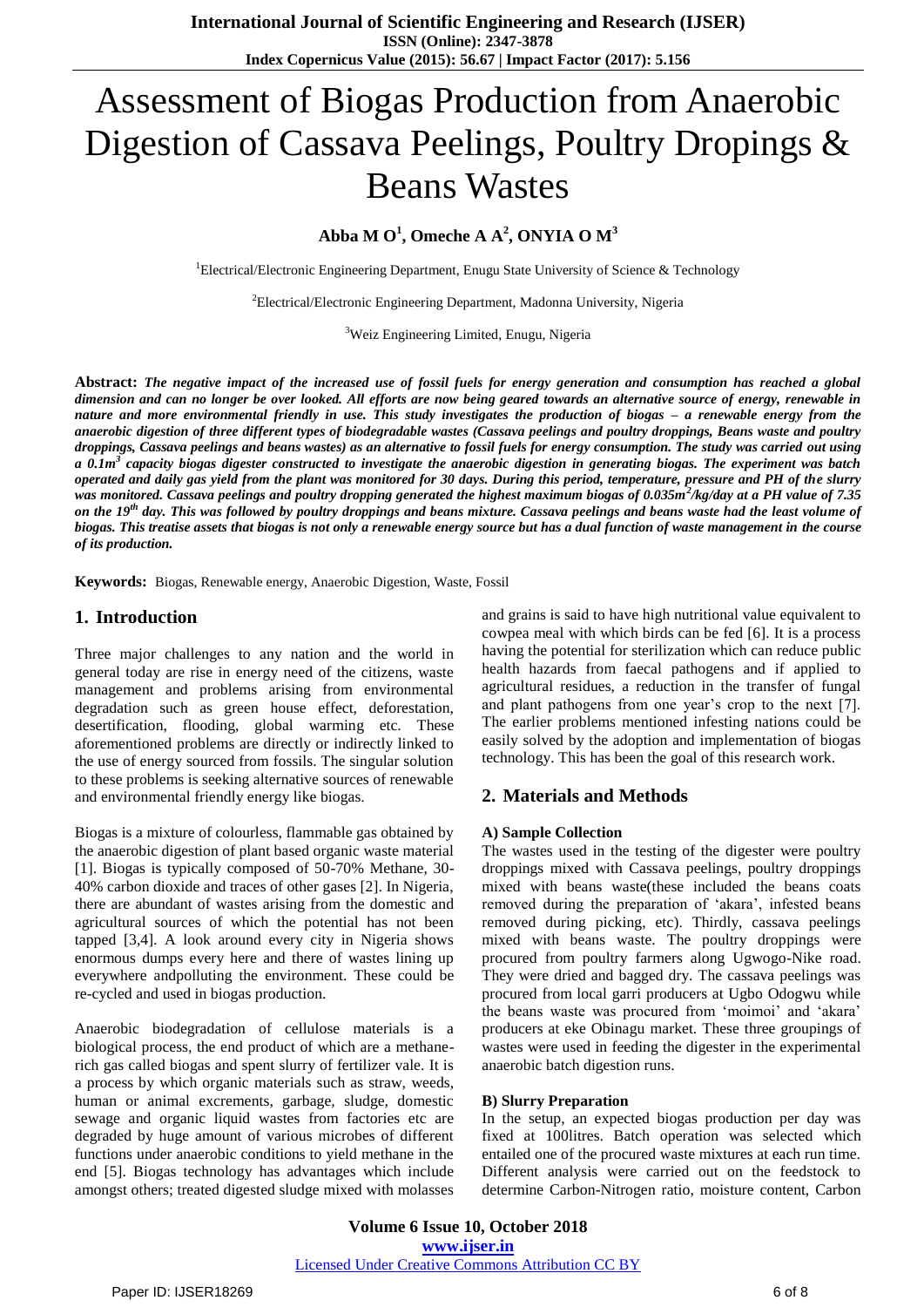# Assessment of Biogas Production from Anaerobic Digestion of Cassava Peelings, Poultry Dropings & Beans Wastes

**Abba M O<sup>1</sup> , Omeche A A<sup>2</sup> , ONYIA O M<sup>3</sup>**

<sup>1</sup>Electrical/Electronic Engineering Department, Enugu State University of Science & Technology

<sup>2</sup>Electrical/Electronic Engineering Department, Madonna University, Nigeria

<sup>3</sup>Weiz Engineering Limited, Enugu, Nigeria

**Abstract:** *The negative impact of the increased use of fossil fuels for energy generation and consumption has reached a global dimension and can no longer be over looked. All efforts are now being geared towards an alternative source of energy, renewable in nature and more environmental friendly in use. This study investigates the production of biogas – a renewable energy from the anaerobic digestion of three different types of biodegradable wastes (Cassava peelings and poultry droppings, Beans waste and poultry droppings, Cassava peelings and beans wastes) as an alternative to fossil fuels for energy consumption. The study was carried out using a 0.1m<sup>3</sup> capacity biogas digester constructed to investigate the anaerobic digestion in generating biogas. The experiment was batch operated and daily gas yield from the plant was monitored for 30 days. During this period, temperature, pressure and PH of the slurry was monitored. Cassava peelings and poultry dropping generated the highest maximum biogas of 0.035m<sup>2</sup> /kg/day at a PH value of 7.35 on the 19th day. This was followed by poultry droppings and beans mixture. Cassava peelings and beans waste had the least volume of biogas. This treatise assets that biogas is not only a renewable energy source but has a dual function of waste management in the course of its production.*

**Keywords:** Biogas, Renewable energy, Anaerobic Digestion, Waste, Fossil

### **1. Introduction**

Three major challenges to any nation and the world in general today are rise in energy need of the citizens, waste management and problems arising from environmental degradation such as green house effect, deforestation, desertification, flooding, global warming etc. These aforementioned problems are directly or indirectly linked to the use of energy sourced from fossils. The singular solution to these problems is seeking alternative sources of renewable and environmental friendly energy like biogas.

Biogas is a mixture of colourless, flammable gas obtained by the anaerobic digestion of plant based organic waste material [1]. Biogas is typically composed of 50-70% Methane, 30- 40% carbon dioxide and traces of other gases [2]. In Nigeria, there are abundant of wastes arising from the domestic and agricultural sources of which the potential has not been tapped [3,4]. A look around every city in Nigeria shows enormous dumps every here and there of wastes lining up everywhere andpolluting the environment. These could be re-cycled and used in biogas production.

Anaerobic biodegradation of cellulose materials is a biological process, the end product of which are a methanerich gas called biogas and spent slurry of fertilizer vale. It is a process by which organic materials such as straw, weeds, human or animal excrements, garbage, sludge, domestic sewage and organic liquid wastes from factories etc are degraded by huge amount of various microbes of different functions under anaerobic conditions to yield methane in the end [5]. Biogas technology has advantages which include amongst others; treated digested sludge mixed with molasses and grains is said to have high nutritional value equivalent to cowpea meal with which birds can be fed [6]. It is a process having the potential for sterilization which can reduce public health hazards from faecal pathogens and if applied to agricultural residues, a reduction in the transfer of fungal and plant pathogens from one year's crop to the next [7]. The earlier problems mentioned infesting nations could be easily solved by the adoption and implementation of biogas technology. This has been the goal of this research work.

### **2. Materials and Methods**

#### **A) Sample Collection**

The wastes used in the testing of the digester were poultry droppings mixed with Cassava peelings, poultry droppings mixed with beans waste(these included the beans coats removed during the preparation of 'akara', infested beans removed during picking, etc). Thirdly, cassava peelings mixed with beans waste. The poultry droppings were procured from poultry farmers along Ugwogo-Nike road. They were dried and bagged dry. The cassava peelings was procured from local garri producers at Ugbo Odogwu while the beans waste was procured from 'moimoi' and 'akara' producers at eke Obinagu market. These three groupings of wastes were used in feeding the digester in the experimental anaerobic batch digestion runs.

#### **B) Slurry Preparation**

In the setup, an expected biogas production per day was fixed at 100litres. Batch operation was selected which entailed one of the procured waste mixtures at each run time. Different analysis were carried out on the feedstock to determine Carbon-Nitrogen ratio, moisture content, Carbon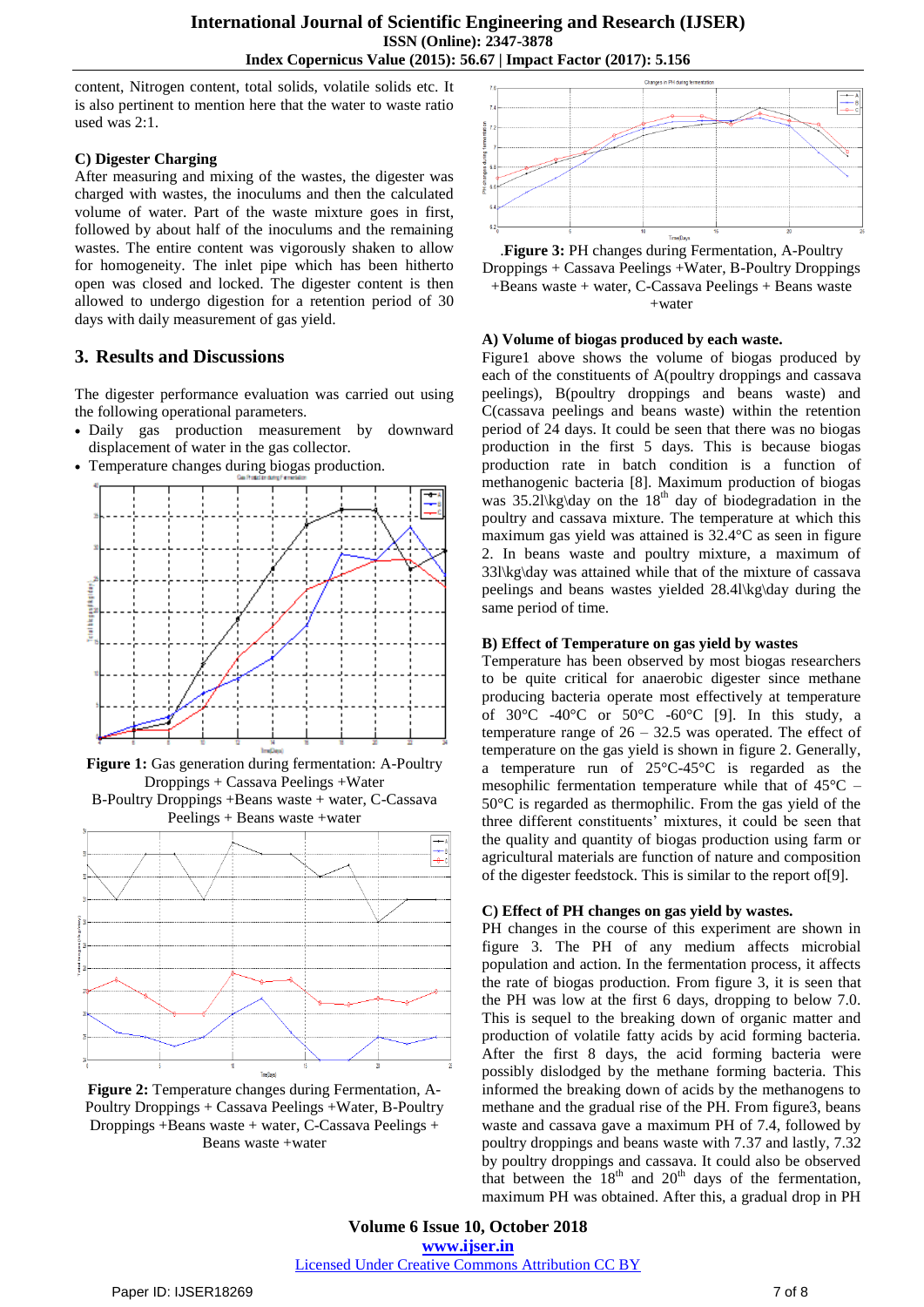content, Nitrogen content, total solids, volatile solids etc. It is also pertinent to mention here that the water to waste ratio used was 2:1.

## **C) Digester Charging**

After measuring and mixing of the wastes, the digester was charged with wastes, the inoculums and then the calculated volume of water. Part of the waste mixture goes in first, followed by about half of the inoculums and the remaining wastes. The entire content was vigorously shaken to allow for homogeneity. The inlet pipe which has been hitherto open was closed and locked. The digester content is then allowed to undergo digestion for a retention period of 30 days with daily measurement of gas yield.

# **3. Results and Discussions**

The digester performance evaluation was carried out using the following operational parameters.

- Daily gas production measurement by downward displacement of water in the gas collector.
- Temperature changes during biogas production.



**Figure 1:** Gas generation during fermentation: A-Poultry Droppings + Cassava Peelings +Water B-Poultry Droppings +Beans waste + water, C-Cassava



**Figure 2:** Temperature changes during Fermentation, A-Poultry Droppings + Cassava Peelings +Water, B-Poultry Droppings +Beans waste + water, C-Cassava Peelings + Beans waste +water



.**Figure 3:** PH changes during Fermentation, A-Poultry Droppings + Cassava Peelings +Water, B-Poultry Droppings +Beans waste + water, C-Cassava Peelings + Beans waste +water

# **A) Volume of biogas produced by each waste.**

Figure1 above shows the volume of biogas produced by each of the constituents of A(poultry droppings and cassava peelings), B(poultry droppings and beans waste) and C(cassava peelings and beans waste) within the retention period of 24 days. It could be seen that there was no biogas production in the first 5 days. This is because biogas production rate in batch condition is a function of methanogenic bacteria [8]. Maximum production of biogas was  $35.2$ l $\kg$ day on the  $18<sup>th</sup>$  day of biodegradation in the poultry and cassava mixture. The temperature at which this maximum gas yield was attained is 32.4°C as seen in figure 2. In beans waste and poultry mixture, a maximum of 33l\kg\day was attained while that of the mixture of cassava peelings and beans wastes yielded 28.4l\kg\day during the same period of time.

## **B) Effect of Temperature on gas yield by wastes**

Temperature has been observed by most biogas researchers to be quite critical for anaerobic digester since methane producing bacteria operate most effectively at temperature of  $30^{\circ}$ C -40°C or  $50^{\circ}$ C -60°C [9]. In this study, a temperature range of  $26 - 32.5$  was operated. The effect of temperature on the gas yield is shown in figure 2. Generally, a temperature run of 25°C-45°C is regarded as the mesophilic fermentation temperature while that of 45°C – 50°C is regarded as thermophilic. From the gas yield of the three different constituents' mixtures, it could be seen that the quality and quantity of biogas production using farm or agricultural materials are function of nature and composition of the digester feedstock. This is similar to the report of[9].

# **C) Effect of PH changes on gas yield by wastes.**

PH changes in the course of this experiment are shown in figure 3. The PH of any medium affects microbial population and action. In the fermentation process, it affects the rate of biogas production. From figure 3, it is seen that the PH was low at the first 6 days, dropping to below 7.0. This is sequel to the breaking down of organic matter and production of volatile fatty acids by acid forming bacteria. After the first 8 days, the acid forming bacteria were possibly dislodged by the methane forming bacteria. This informed the breaking down of acids by the methanogens to methane and the gradual rise of the PH. From figure3, beans waste and cassava gave a maximum PH of 7.4, followed by poultry droppings and beans waste with 7.37 and lastly, 7.32 by poultry droppings and cassava. It could also be observed that between the  $18<sup>th</sup>$  and  $20<sup>th</sup>$  days of the fermentation, maximum PH was obtained. After this, a gradual drop in PH

**Volume 6 Issue 10, October 2018 www.ijser.in** Licensed Under Creative Commons Attribution CC BY